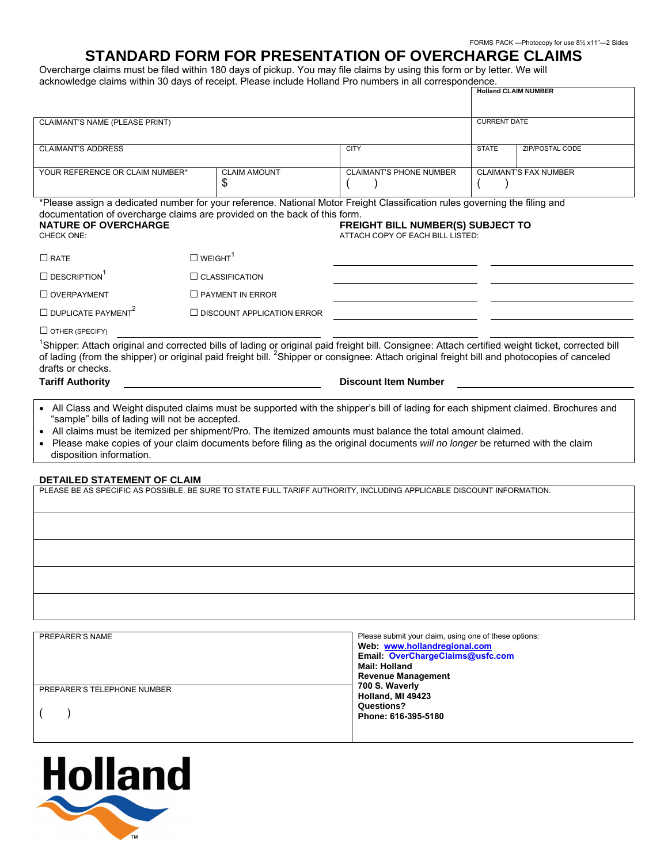## **STANDARD FORM FOR PRESENTATION OF OVERCHARGE CLAIMS**

Overcharge claims must be filed within 180 days of pickup. You may file claims by using this form or by letter. We will acknowledge claims within 30 days of receipt. Please include Holland Pro numbers in all correspondence.

|                                                                                                                                                                                                                                                                                                                                                                                                                                                                  |                            |                                   |                                                                       |              | <b>Holland CLAIM NUMBER</b>  |  |
|------------------------------------------------------------------------------------------------------------------------------------------------------------------------------------------------------------------------------------------------------------------------------------------------------------------------------------------------------------------------------------------------------------------------------------------------------------------|----------------------------|-----------------------------------|-----------------------------------------------------------------------|--------------|------------------------------|--|
| CLAIMANT'S NAME (PLEASE PRINT)                                                                                                                                                                                                                                                                                                                                                                                                                                   |                            |                                   |                                                                       |              | <b>CURRENT DATE</b>          |  |
|                                                                                                                                                                                                                                                                                                                                                                                                                                                                  |                            |                                   |                                                                       |              |                              |  |
| <b>CLAIMANT'S ADDRESS</b>                                                                                                                                                                                                                                                                                                                                                                                                                                        |                            |                                   | <b>CITY</b>                                                           | <b>STATE</b> | <b>ZIP/POSTAL CODE</b>       |  |
| YOUR REFERENCE OR CLAIM NUMBER*                                                                                                                                                                                                                                                                                                                                                                                                                                  |                            | <b>CLAIM AMOUNT</b><br>\$         | <b>CLAIMANT'S PHONE NUMBER</b>                                        |              | <b>CLAIMANT'S FAX NUMBER</b> |  |
| *Please assign a dedicated number for your reference. National Motor Freight Classification rules governing the filing and<br>documentation of overcharge claims are provided on the back of this form.<br><b>NATURE OF OVERCHARGE</b><br>CHECK ONE:                                                                                                                                                                                                             |                            |                                   | FREIGHT BILL NUMBER(S) SUBJECT TO<br>ATTACH COPY OF EACH BILL LISTED: |              |                              |  |
| $\Box$ RATE                                                                                                                                                                                                                                                                                                                                                                                                                                                      | $\Box$ WEIGHT <sup>1</sup> |                                   |                                                                       |              |                              |  |
| $\square$ DESCRIPTION <sup>1</sup>                                                                                                                                                                                                                                                                                                                                                                                                                               |                            | $\Box$ CLASSIFICATION             |                                                                       |              |                              |  |
| $\Box$ OVERPAYMENT                                                                                                                                                                                                                                                                                                                                                                                                                                               |                            | $\Box$ PAYMENT IN ERROR           |                                                                       |              |                              |  |
| $\Box$ DUPLICATE PAYMENT <sup>2</sup>                                                                                                                                                                                                                                                                                                                                                                                                                            |                            | $\Box$ DISCOUNT APPLICATION ERROR |                                                                       |              |                              |  |
| $\Box$ OTHER (SPECIFY)                                                                                                                                                                                                                                                                                                                                                                                                                                           |                            |                                   |                                                                       |              |                              |  |
| <sup>1</sup> Shipper: Attach original and corrected bills of lading or original paid freight bill. Consignee: Attach certified weight ticket, corrected bill<br>of lading (from the shipper) or original paid freight bill. <sup>2</sup> Shipper or consignee: Attach original freight bill and photocopies of canceled<br>drafts or checks.<br><b>Tariff Authority</b>                                                                                          |                            |                                   | <b>Discount Item Number</b>                                           |              |                              |  |
| • All Class and Weight disputed claims must be supported with the shipper's bill of lading for each shipment claimed. Brochures and<br>"sample" bills of lading will not be accepted.<br>All claims must be itemized per shipment/Pro. The itemized amounts must balance the total amount claimed.<br>• Please make copies of your claim documents before filing as the original documents will no longer be returned with the claim<br>disposition information. |                            |                                   |                                                                       |              |                              |  |
| <b>DETAILED STATEMENT OF CLAIM</b>                                                                                                                                                                                                                                                                                                                                                                                                                               |                            |                                   |                                                                       |              |                              |  |
| PLEASE BE AS SPECIFIC AS POSSIBLE. BE SURE TO STATE FULL TARIFF AUTHORITY, INCLUDING APPLICABLE DISCOUNT INFORMATION.                                                                                                                                                                                                                                                                                                                                            |                            |                                   |                                                                       |              |                              |  |
|                                                                                                                                                                                                                                                                                                                                                                                                                                                                  |                            |                                   |                                                                       |              |                              |  |
|                                                                                                                                                                                                                                                                                                                                                                                                                                                                  |                            |                                   |                                                                       |              |                              |  |
|                                                                                                                                                                                                                                                                                                                                                                                                                                                                  |                            |                                   |                                                                       |              |                              |  |
|                                                                                                                                                                                                                                                                                                                                                                                                                                                                  |                            |                                   |                                                                       |              |                              |  |
|                                                                                                                                                                                                                                                                                                                                                                                                                                                                  |                            |                                   |                                                                       |              |                              |  |
|                                                                                                                                                                                                                                                                                                                                                                                                                                                                  |                            |                                   |                                                                       |              |                              |  |
| DDEDADEDIC MAME                                                                                                                                                                                                                                                                                                                                                                                                                                                  |                            |                                   | Distance at the office of a status containing and address of          |              |                              |  |

| PREPARER'S NAME             | Please submit your claim, using one of these options: |  |  |
|-----------------------------|-------------------------------------------------------|--|--|
|                             | Web www.hollandregional.com                           |  |  |
|                             | Email: OverChargeClaims@usfc.com                      |  |  |
|                             | Mail: Holland                                         |  |  |
|                             | <b>Revenue Management</b>                             |  |  |
| PREPARER'S TELEPHONE NUMBER | 700 S. Waverly                                        |  |  |
|                             | Holland, MI 49423                                     |  |  |
|                             | Questions?                                            |  |  |
|                             | Phone: 616-395-5180                                   |  |  |
|                             |                                                       |  |  |
|                             |                                                       |  |  |